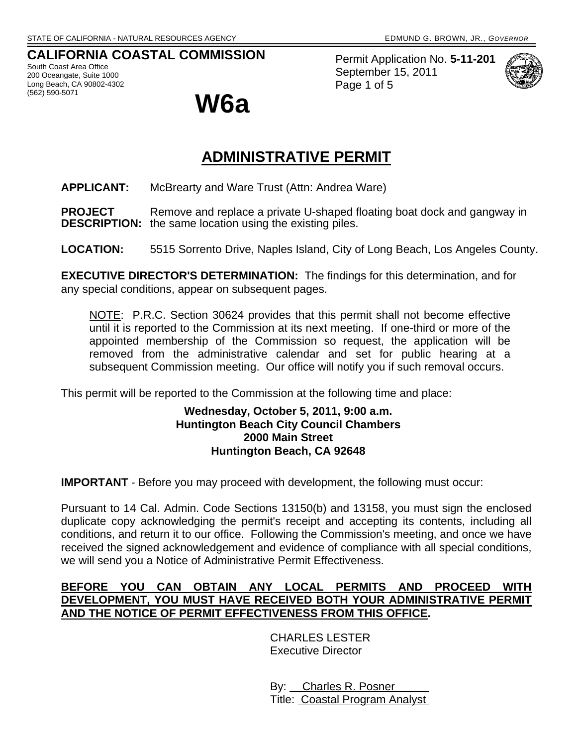# **CALIFORNIA COASTAL COMMISSION**

South Coast Area Office 200 Oceangate, Suite 1000 Long Beach, CA 90802-4302<br>(562) 590-5071



Permit Application No. **5-11-201** September 15, 2011 Page 1 of 5



# **ADMINISTRATIVE PERMIT**

**APPLICANT:** McBrearty and Ware Trust (Attn: Andrea Ware)

**PROJECT** Remove and replace a private U-shaped floating boat dock and gangway in **DESCRIPTION:** the same location using the existing piles.

**LOCATION:** 5515 Sorrento Drive, Naples Island, City of Long Beach, Los Angeles County.

**EXECUTIVE DIRECTOR'S DETERMINATION:** The findings for this determination, and for any special conditions, appear on subsequent pages.

NOTE: P.R.C. Section 30624 provides that this permit shall not become effective until it is reported to the Commission at its next meeting. If one-third or more of the appointed membership of the Commission so request, the application will be removed from the administrative calendar and set for public hearing at a subsequent Commission meeting. Our office will notify you if such removal occurs.

This permit will be reported to the Commission at the following time and place:

#### **Wednesday, October 5, 2011, 9:00 a.m. Huntington Beach City Council Chambers 2000 Main Street Huntington Beach, CA 92648**

**IMPORTANT** - Before you may proceed with development, the following must occur:

Pursuant to 14 Cal. Admin. Code Sections 13150(b) and 13158, you must sign the enclosed duplicate copy acknowledging the permit's receipt and accepting its contents, including all conditions, and return it to our office. Following the Commission's meeting, and once we have received the signed acknowledgement and evidence of compliance with all special conditions, we will send you a Notice of Administrative Permit Effectiveness.

# **BEFORE YOU CAN OBTAIN ANY LOCAL PERMITS AND PROCEED WITH DEVELOPMENT, YOU MUST HAVE RECEIVED BOTH YOUR ADMINISTRATIVE PERMIT AND THE NOTICE OF PERMIT EFFECTIVENESS FROM THIS OFFICE.**

 CHARLES LESTER Executive Director

 By: Charles R. Posner Title: Coastal Program Analyst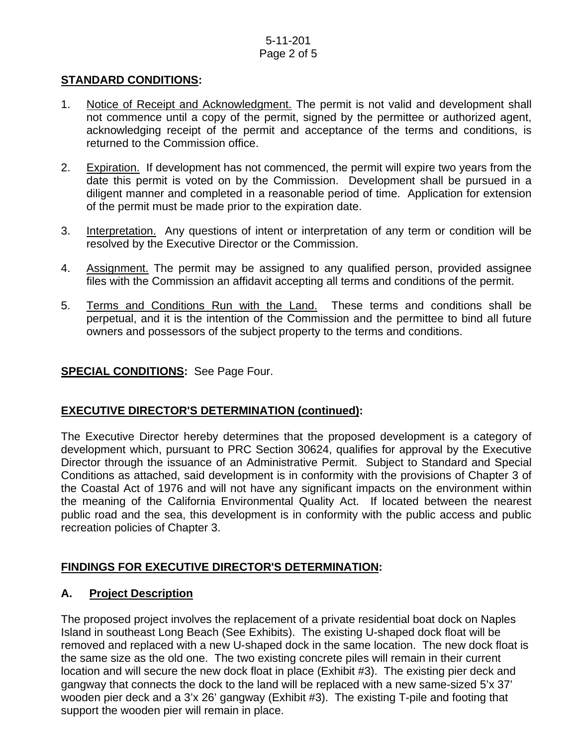# 5-11-201 Page 2 of 5

### **STANDARD CONDITIONS:**

- 1. Notice of Receipt and Acknowledgment. The permit is not valid and development shall not commence until a copy of the permit, signed by the permittee or authorized agent, acknowledging receipt of the permit and acceptance of the terms and conditions, is returned to the Commission office.
- 2. Expiration. If development has not commenced, the permit will expire two years from the date this permit is voted on by the Commission. Development shall be pursued in a diligent manner and completed in a reasonable period of time. Application for extension of the permit must be made prior to the expiration date.
- 3. Interpretation. Any questions of intent or interpretation of any term or condition will be resolved by the Executive Director or the Commission.
- 4. Assignment. The permit may be assigned to any qualified person, provided assignee files with the Commission an affidavit accepting all terms and conditions of the permit.
- 5. Terms and Conditions Run with the Land. These terms and conditions shall be perpetual, and it is the intention of the Commission and the permittee to bind all future owners and possessors of the subject property to the terms and conditions.

#### **SPECIAL CONDITIONS:** See Page Four.

#### **EXECUTIVE DIRECTOR'S DETERMINATION (continued):**

The Executive Director hereby determines that the proposed development is a category of development which, pursuant to PRC Section 30624, qualifies for approval by the Executive Director through the issuance of an Administrative Permit. Subject to Standard and Special Conditions as attached, said development is in conformity with the provisions of Chapter 3 of the Coastal Act of 1976 and will not have any significant impacts on the environment within the meaning of the California Environmental Quality Act. If located between the nearest public road and the sea, this development is in conformity with the public access and public recreation policies of Chapter 3.

# **FINDINGS FOR EXECUTIVE DIRECTOR'S DETERMINATION:**

#### **A. Project Description**

The proposed project involves the replacement of a private residential boat dock on Naples Island in southeast Long Beach (See Exhibits). The existing U-shaped dock float will be removed and replaced with a new U-shaped dock in the same location. The new dock float is the same size as the old one. The two existing concrete piles will remain in their current location and will secure the new dock float in place (Exhibit #3). The existing pier deck and gangway that connects the dock to the land will be replaced with a new same-sized 5'x 37' wooden pier deck and a 3'x 26' gangway (Exhibit #3). The existing T-pile and footing that support the wooden pier will remain in place.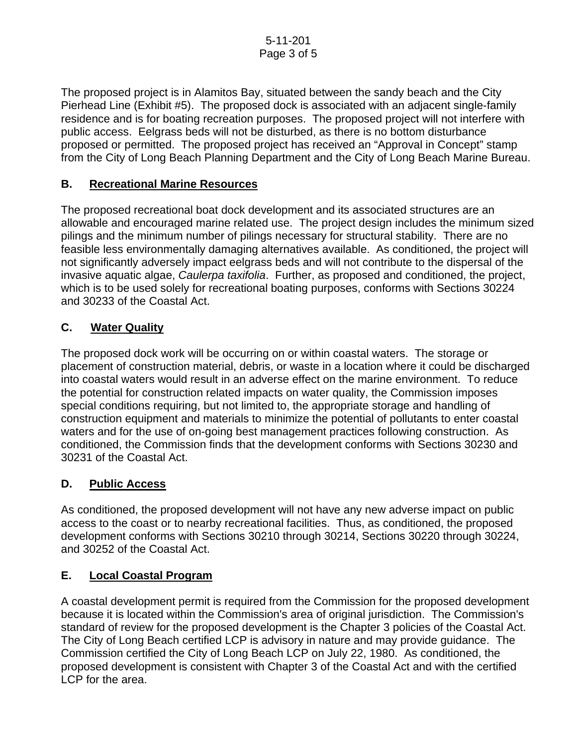The proposed project is in Alamitos Bay, situated between the sandy beach and the City Pierhead Line (Exhibit #5). The proposed dock is associated with an adjacent single-family residence and is for boating recreation purposes. The proposed project will not interfere with public access. Eelgrass beds will not be disturbed, as there is no bottom disturbance proposed or permitted. The proposed project has received an "Approval in Concept" stamp from the City of Long Beach Planning Department and the City of Long Beach Marine Bureau.

# **B. Recreational Marine Resources**

The proposed recreational boat dock development and its associated structures are an allowable and encouraged marine related use. The project design includes the minimum sized pilings and the minimum number of pilings necessary for structural stability. There are no feasible less environmentally damaging alternatives available. As conditioned, the project will not significantly adversely impact eelgrass beds and will not contribute to the dispersal of the invasive aquatic algae, *Caulerpa taxifolia*. Further, as proposed and conditioned, the project, which is to be used solely for recreational boating purposes, conforms with Sections 30224 and 30233 of the Coastal Act.

# **C. Water Quality**

The proposed dock work will be occurring on or within coastal waters. The storage or placement of construction material, debris, or waste in a location where it could be discharged into coastal waters would result in an adverse effect on the marine environment. To reduce the potential for construction related impacts on water quality, the Commission imposes special conditions requiring, but not limited to, the appropriate storage and handling of construction equipment and materials to minimize the potential of pollutants to enter coastal waters and for the use of on-going best management practices following construction. As conditioned, the Commission finds that the development conforms with Sections 30230 and 30231 of the Coastal Act.

#### **D. Public Access**

As conditioned, the proposed development will not have any new adverse impact on public access to the coast or to nearby recreational facilities. Thus, as conditioned, the proposed development conforms with Sections 30210 through 30214, Sections 30220 through 30224, and 30252 of the Coastal Act.

# **E. Local Coastal Program**

A coastal development permit is required from the Commission for the proposed development because it is located within the Commission's area of original jurisdiction. The Commission's standard of review for the proposed development is the Chapter 3 policies of the Coastal Act. The City of Long Beach certified LCP is advisory in nature and may provide guidance. The Commission certified the City of Long Beach LCP on July 22, 1980. As conditioned, the proposed development is consistent with Chapter 3 of the Coastal Act and with the certified LCP for the area.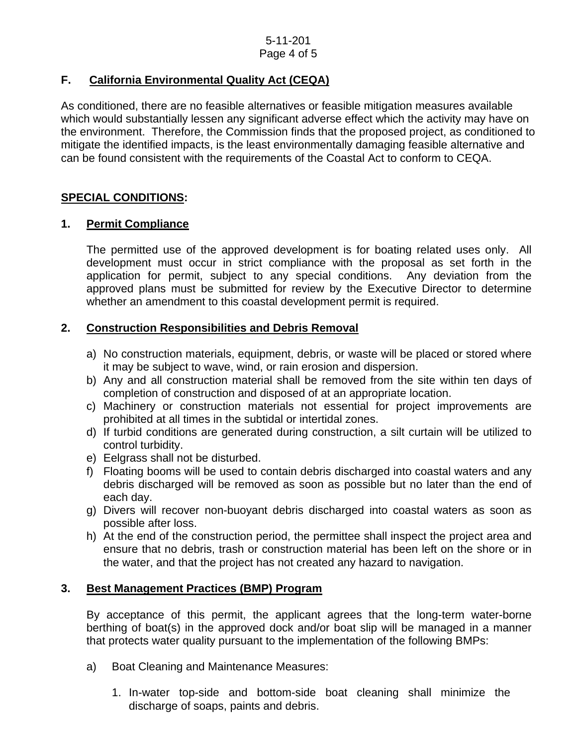# **F. California Environmental Quality Act (CEQA)**

As conditioned, there are no feasible alternatives or feasible mitigation measures available which would substantially lessen any significant adverse effect which the activity may have on the environment. Therefore, the Commission finds that the proposed project, as conditioned to mitigate the identified impacts, is the least environmentally damaging feasible alternative and can be found consistent with the requirements of the Coastal Act to conform to CEQA.

# **SPECIAL CONDITIONS:**

# **1. Permit Compliance**

 The permitted use of the approved development is for boating related uses only. All development must occur in strict compliance with the proposal as set forth in the application for permit, subject to any special conditions. Any deviation from the approved plans must be submitted for review by the Executive Director to determine whether an amendment to this coastal development permit is required.

# **2. Construction Responsibilities and Debris Removal**

- a) No construction materials, equipment, debris, or waste will be placed or stored where it may be subject to wave, wind, or rain erosion and dispersion.
- b) Any and all construction material shall be removed from the site within ten days of completion of construction and disposed of at an appropriate location.
- c) Machinery or construction materials not essential for project improvements are prohibited at all times in the subtidal or intertidal zones.
- d) If turbid conditions are generated during construction, a silt curtain will be utilized to control turbidity.
- e) Eelgrass shall not be disturbed.
- f) Floating booms will be used to contain debris discharged into coastal waters and any debris discharged will be removed as soon as possible but no later than the end of each day.
- g) Divers will recover non-buoyant debris discharged into coastal waters as soon as possible after loss.
- h) At the end of the construction period, the permittee shall inspect the project area and ensure that no debris, trash or construction material has been left on the shore or in the water, and that the project has not created any hazard to navigation.

#### **3. Best Management Practices (BMP) Program**

By acceptance of this permit, the applicant agrees that the long-term water-borne berthing of boat(s) in the approved dock and/or boat slip will be managed in a manner that protects water quality pursuant to the implementation of the following BMPs:

- a) Boat Cleaning and Maintenance Measures:
	- 1. In-water top-side and bottom-side boat cleaning shall minimize the discharge of soaps, paints and debris.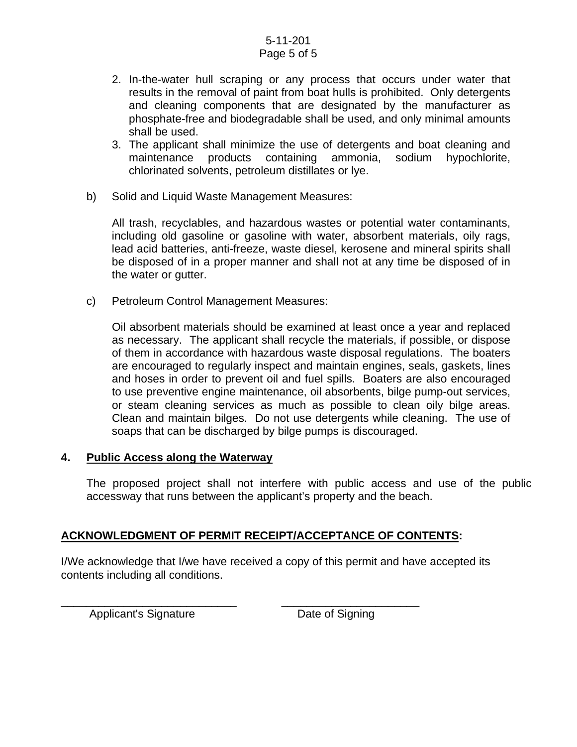#### 5-11-201 Page 5 of 5

- 2. In-the-water hull scraping or any process that occurs under water that results in the removal of paint from boat hulls is prohibited. Only detergents and cleaning components that are designated by the manufacturer as phosphate-free and biodegradable shall be used, and only minimal amounts shall be used.
- 3. The applicant shall minimize the use of detergents and boat cleaning and maintenance products containing ammonia, sodium hypochlorite, chlorinated solvents, petroleum distillates or lye.
- b) Solid and Liquid Waste Management Measures:

All trash, recyclables, and hazardous wastes or potential water contaminants, including old gasoline or gasoline with water, absorbent materials, oily rags, lead acid batteries, anti-freeze, waste diesel, kerosene and mineral spirits shall be disposed of in a proper manner and shall not at any time be disposed of in the water or gutter.

c) Petroleum Control Management Measures:

Oil absorbent materials should be examined at least once a year and replaced as necessary. The applicant shall recycle the materials, if possible, or dispose of them in accordance with hazardous waste disposal regulations. The boaters are encouraged to regularly inspect and maintain engines, seals, gaskets, lines and hoses in order to prevent oil and fuel spills. Boaters are also encouraged to use preventive engine maintenance, oil absorbents, bilge pump-out services, or steam cleaning services as much as possible to clean oily bilge areas. Clean and maintain bilges. Do not use detergents while cleaning. The use of soaps that can be discharged by bilge pumps is discouraged.

#### **4. Public Access along the Waterway**

The proposed project shall not interfere with public access and use of the public accessway that runs between the applicant's property and the beach.

# **ACKNOWLEDGMENT OF PERMIT RECEIPT/ACCEPTANCE OF CONTENTS:**

I/We acknowledge that I/we have received a copy of this permit and have accepted its contents including all conditions.

Applicant's Signature Date of Signing

\_\_\_\_\_\_\_\_\_\_\_\_\_\_\_\_\_\_\_\_\_\_\_\_\_\_\_\_ \_\_\_\_\_\_\_\_\_\_\_\_\_\_\_\_\_\_\_\_\_\_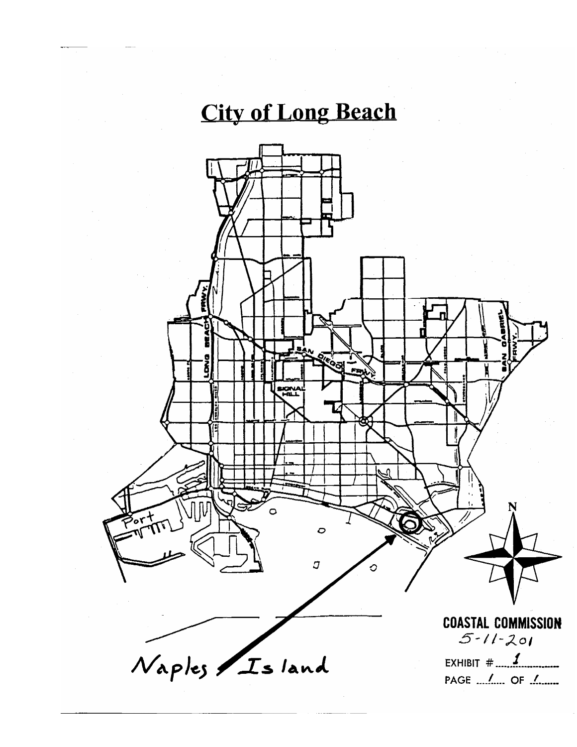# **City of Long Beach**

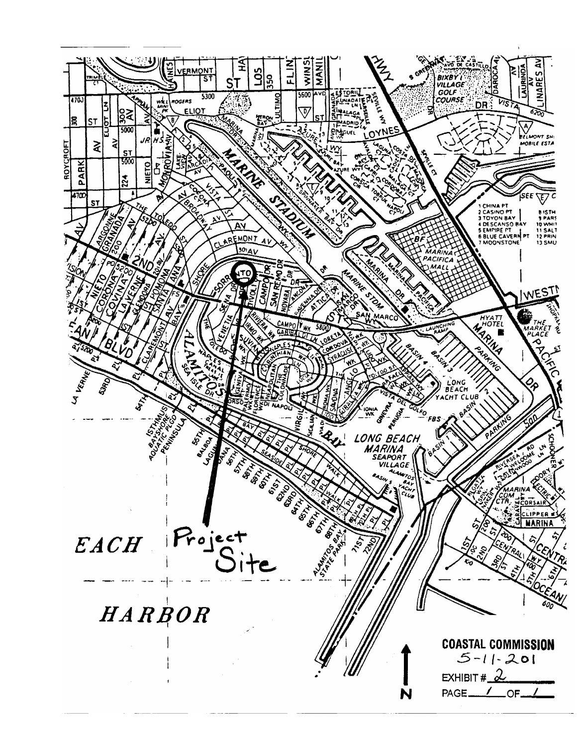